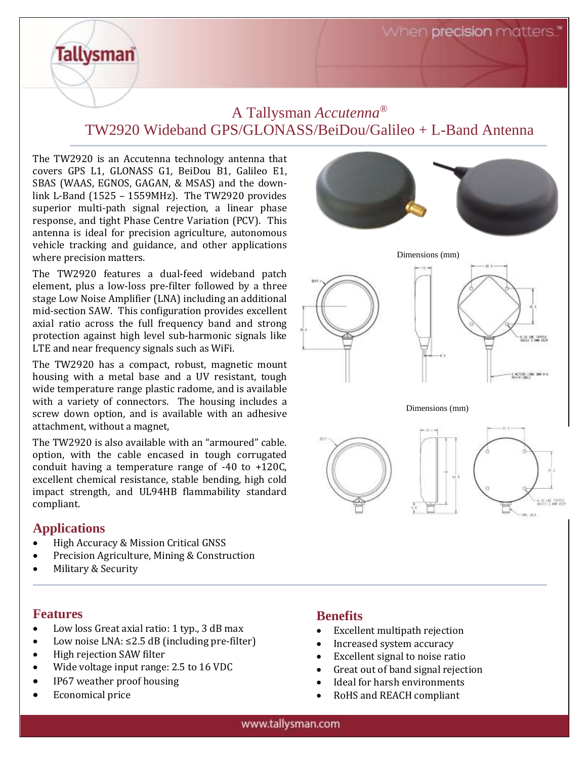# A Tallysman *Accutenna®* TW2920 Wideband GPS/GLONASS/BeiDou/Galileo + L-Band Antenna

The TW2920 is an Accutenna technology antenna that covers GPS L1, GLONASS G1, BeiDou B1, Galileo E1, SBAS (WAAS, EGNOS, GAGAN, & MSAS) and the downlink L-Band (1525 – 1559MHz). The TW2920 provides superior multi-path signal rejection, a linear phase response, and tight Phase Centre Variation (PCV). This antenna is ideal for precision agriculture, autonomous vehicle tracking and guidance, and other applications where precision matters.

**Tallysman** 

The TW2920 features a dual-feed wideband patch element, plus a low-loss pre-filter followed by a three stage Low Noise Amplifier (LNA) including an additional mid-section SAW. This configuration provides excellent axial ratio across the full frequency band and strong protection against high level sub-harmonic signals like LTE and near frequency signals such as WiFi.

The TW2920 has a compact, robust, magnetic mount housing with a metal base and a UV resistant, tough wide temperature range plastic radome, and is available with a variety of connectors. The housing includes a screw down option, and is available with an adhesive attachment, without a magnet,

The TW2920 is also available with an "armoured" cable. option, with the cable encased in tough corrugated conduit having a temperature range of -40 to +120C, excellent chemical resistance, stable bending, high cold impact strength, and UL94HB flammability standard compliant.

## **Applications**

- High Accuracy & Mission Critical GNSS
- Precision Agriculture, Mining & Construction
- Military & Security

#### **Features**

- Low loss Great axial ratio: 1 typ., 3 dB max
- Low noise LNA: ≤2.5 dB (including pre-filter)
- High rejection SAW filter
- Wide voltage input range: 2.5 to 16 VDC
- IP67 weather proof housing
- Economical price



## **Benefits**

- Excellent multipath rejection
- Increased system accuracy
- Excellent signal to noise ratio
- Great out of band signal rejection
- Ideal for harsh environments
- RoHS and REACH compliant